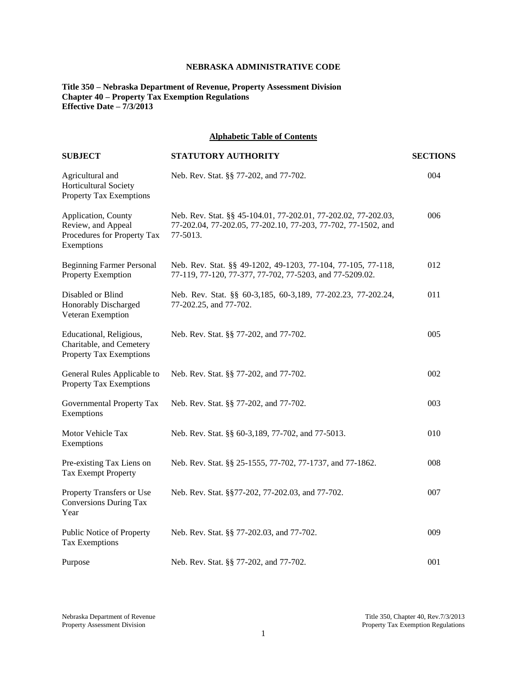# **NEBRASKA ADMINISTRATIVE CODE**

# **Title 350 – Nebraska Department of Revenue, Property Assessment Division Chapter 40 – Property Tax Exemption Regulations Effective Date – 7/3/2013**

## **Alphabetic Table of Contents**

| <b>SUBJECT</b>                                                                         | STATUTORY AUTHORITY                                                                                                                         | <b>SECTIONS</b> |
|----------------------------------------------------------------------------------------|---------------------------------------------------------------------------------------------------------------------------------------------|-----------------|
| Agricultural and<br>Horticultural Society<br><b>Property Tax Exemptions</b>            | Neb. Rev. Stat. §§ 77-202, and 77-702.                                                                                                      | 004             |
| Application, County<br>Review, and Appeal<br>Procedures for Property Tax<br>Exemptions | Neb. Rev. Stat. §§ 45-104.01, 77-202.01, 77-202.02, 77-202.03,<br>77-202.04, 77-202.05, 77-202.10, 77-203, 77-702, 77-1502, and<br>77-5013. | 006             |
| <b>Beginning Farmer Personal</b><br>Property Exemption                                 | Neb. Rev. Stat. §§ 49-1202, 49-1203, 77-104, 77-105, 77-118,<br>77-119, 77-120, 77-377, 77-702, 77-5203, and 77-5209.02.                    | 012             |
| Disabled or Blind<br>Honorably Discharged<br>Veteran Exemption                         | Neb. Rev. Stat. §§ 60-3,185, 60-3,189, 77-202.23, 77-202.24,<br>77-202.25, and 77-702.                                                      | 011             |
| Educational, Religious,<br>Charitable, and Cemetery<br><b>Property Tax Exemptions</b>  | Neb. Rev. Stat. §§ 77-202, and 77-702.                                                                                                      | 005             |
| General Rules Applicable to<br>Property Tax Exemptions                                 | Neb. Rev. Stat. §§ 77-202, and 77-702.                                                                                                      | 002             |
| Governmental Property Tax<br>Exemptions                                                | Neb. Rev. Stat. §§ 77-202, and 77-702.                                                                                                      | 003             |
| Motor Vehicle Tax<br>Exemptions                                                        | Neb. Rev. Stat. §§ 60-3,189, 77-702, and 77-5013.                                                                                           | 010             |
| Pre-existing Tax Liens on<br><b>Tax Exempt Property</b>                                | Neb. Rev. Stat. §§ 25-1555, 77-702, 77-1737, and 77-1862.                                                                                   | 008             |
| Property Transfers or Use<br>Conversions During Tax<br>Year                            | Neb. Rev. Stat. §§77-202, 77-202.03, and 77-702.                                                                                            | 007             |
| Public Notice of Property<br>Tax Exemptions                                            | Neb. Rev. Stat. §§ 77-202.03, and 77-702.                                                                                                   | 009             |
| Purpose                                                                                | Neb. Rev. Stat. §§ 77-202, and 77-702.                                                                                                      | 001             |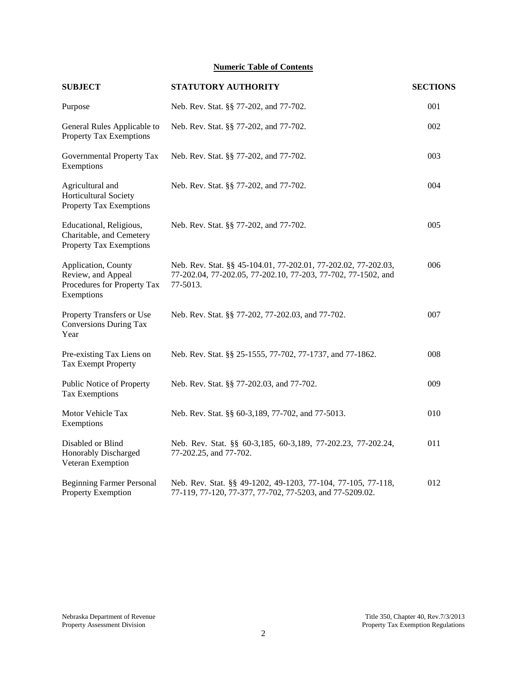# **Numeric Table of Contents**

| <b>SUBJECT</b>                                                                         | STATUTORY AUTHORITY                                                                                                                         | <b>SECTIONS</b> |
|----------------------------------------------------------------------------------------|---------------------------------------------------------------------------------------------------------------------------------------------|-----------------|
| Purpose                                                                                | Neb. Rev. Stat. §§ 77-202, and 77-702.                                                                                                      | 001             |
| General Rules Applicable to<br><b>Property Tax Exemptions</b>                          | Neb. Rev. Stat. §§ 77-202, and 77-702.                                                                                                      | 002             |
| Governmental Property Tax<br>Exemptions                                                | Neb. Rev. Stat. §§ 77-202, and 77-702.                                                                                                      | 003             |
| Agricultural and<br><b>Horticultural Society</b><br>Property Tax Exemptions            | Neb. Rev. Stat. §§ 77-202, and 77-702.                                                                                                      | 004             |
| Educational, Religious,<br>Charitable, and Cemetery<br><b>Property Tax Exemptions</b>  | Neb. Rev. Stat. §§ 77-202, and 77-702.                                                                                                      | 005             |
| Application, County<br>Review, and Appeal<br>Procedures for Property Tax<br>Exemptions | Neb. Rev. Stat. §§ 45-104.01, 77-202.01, 77-202.02, 77-202.03,<br>77-202.04, 77-202.05, 77-202.10, 77-203, 77-702, 77-1502, and<br>77-5013. | 006             |
| Property Transfers or Use<br><b>Conversions During Tax</b><br>Year                     | Neb. Rev. Stat. §§ 77-202, 77-202.03, and 77-702.                                                                                           | 007             |
| Pre-existing Tax Liens on<br>Tax Exempt Property                                       | Neb. Rev. Stat. §§ 25-1555, 77-702, 77-1737, and 77-1862.                                                                                   | 008             |
| Public Notice of Property<br><b>Tax Exemptions</b>                                     | Neb. Rev. Stat. §§ 77-202.03, and 77-702.                                                                                                   | 009             |
| Motor Vehicle Tax<br>Exemptions                                                        | Neb. Rev. Stat. §§ 60-3,189, 77-702, and 77-5013.                                                                                           | 010             |
| Disabled or Blind<br>Honorably Discharged<br>Veteran Exemption                         | Neb. Rev. Stat. §§ 60-3,185, 60-3,189, 77-202.23, 77-202.24,<br>77-202.25, and 77-702.                                                      | 011             |
| <b>Beginning Farmer Personal</b><br>Property Exemption                                 | Neb. Rev. Stat. §§ 49-1202, 49-1203, 77-104, 77-105, 77-118,<br>77-119, 77-120, 77-377, 77-702, 77-5203, and 77-5209.02.                    | 012             |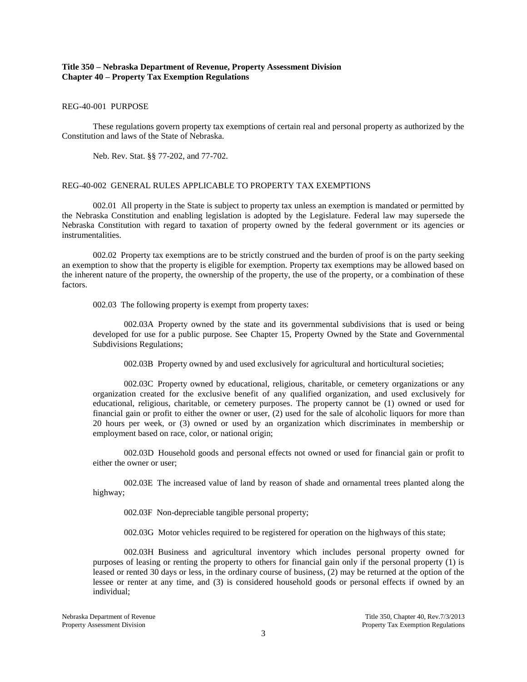## **Title 350 – Nebraska Department of Revenue, Property Assessment Division Chapter 40 – Property Tax Exemption Regulations**

## REG-40-001 PURPOSE

These regulations govern property tax exemptions of certain real and personal property as authorized by the Constitution and laws of the State of Nebraska.

Neb. Rev. Stat. §§ 77-202, and 77-702.

#### REG-40-002 GENERAL RULES APPLICABLE TO PROPERTY TAX EXEMPTIONS

002.01 All property in the State is subject to property tax unless an exemption is mandated or permitted by the Nebraska Constitution and enabling legislation is adopted by the Legislature. Federal law may supersede the Nebraska Constitution with regard to taxation of property owned by the federal government or its agencies or instrumentalities.

002.02 Property tax exemptions are to be strictly construed and the burden of proof is on the party seeking an exemption to show that the property is eligible for exemption. Property tax exemptions may be allowed based on the inherent nature of the property, the ownership of the property, the use of the property, or a combination of these factors.

002.03 The following property is exempt from property taxes:

002.03A Property owned by the state and its governmental subdivisions that is used or being developed for use for a public purpose. See Chapter 15, Property Owned by the State and Governmental Subdivisions Regulations;

002.03B Property owned by and used exclusively for agricultural and horticultural societies;

002.03C Property owned by educational, religious, charitable, or cemetery organizations or any organization created for the exclusive benefit of any qualified organization, and used exclusively for educational, religious, charitable, or cemetery purposes. The property cannot be (1) owned or used for financial gain or profit to either the owner or user, (2) used for the sale of alcoholic liquors for more than 20 hours per week, or (3) owned or used by an organization which discriminates in membership or employment based on race, color, or national origin;

002.03D Household goods and personal effects not owned or used for financial gain or profit to either the owner or user;

002.03E The increased value of land by reason of shade and ornamental trees planted along the highway;

002.03F Non-depreciable tangible personal property;

002.03G Motor vehicles required to be registered for operation on the highways of this state;

002.03H Business and agricultural inventory which includes personal property owned for purposes of leasing or renting the property to others for financial gain only if the personal property (1) is leased or rented 30 days or less, in the ordinary course of business, (2) may be returned at the option of the lessee or renter at any time, and (3) is considered household goods or personal effects if owned by an individual;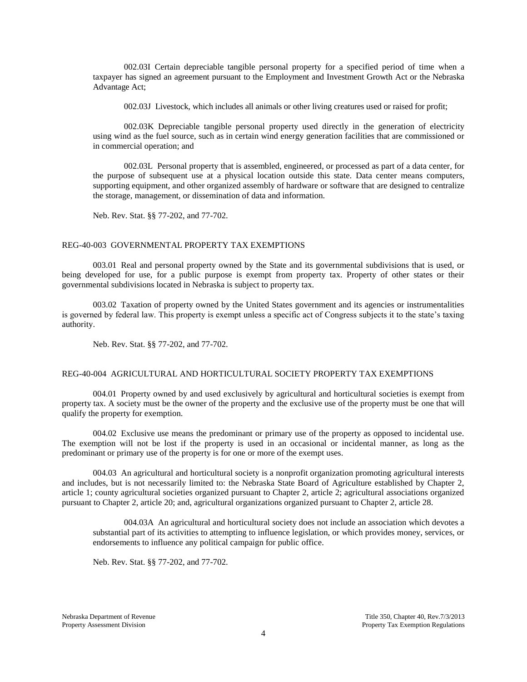002.03I Certain depreciable tangible personal property for a specified period of time when a taxpayer has signed an agreement pursuant to the Employment and Investment Growth Act or the Nebraska Advantage Act;

002.03J Livestock, which includes all animals or other living creatures used or raised for profit;

002.03K Depreciable tangible personal property used directly in the generation of electricity using wind as the fuel source, such as in certain wind energy generation facilities that are commissioned or in commercial operation; and

002.03L Personal property that is assembled, engineered, or processed as part of a data center, for the purpose of subsequent use at a physical location outside this state. Data center means computers, supporting equipment, and other organized assembly of hardware or software that are designed to centralize the storage, management, or dissemination of data and information.

Neb. Rev. Stat. §§ 77-202, and 77-702.

#### REG-40-003 GOVERNMENTAL PROPERTY TAX EXEMPTIONS

003.01 Real and personal property owned by the State and its governmental subdivisions that is used, or being developed for use, for a public purpose is exempt from property tax. Property of other states or their governmental subdivisions located in Nebraska is subject to property tax.

003.02 Taxation of property owned by the United States government and its agencies or instrumentalities is governed by federal law. This property is exempt unless a specific act of Congress subjects it to the state's taxing authority.

Neb. Rev. Stat. §§ 77-202, and 77-702.

## REG-40-004 AGRICULTURAL AND HORTICULTURAL SOCIETY PROPERTY TAX EXEMPTIONS

004.01 Property owned by and used exclusively by agricultural and horticultural societies is exempt from property tax. A society must be the owner of the property and the exclusive use of the property must be one that will qualify the property for exemption.

004.02 Exclusive use means the predominant or primary use of the property as opposed to incidental use. The exemption will not be lost if the property is used in an occasional or incidental manner, as long as the predominant or primary use of the property is for one or more of the exempt uses.

004.03 An agricultural and horticultural society is a nonprofit organization promoting agricultural interests and includes, but is not necessarily limited to: the Nebraska State Board of Agriculture established by Chapter 2, article 1; county agricultural societies organized pursuant to Chapter 2, article 2; agricultural associations organized pursuant to Chapter 2, article 20; and, agricultural organizations organized pursuant to Chapter 2, article 28.

004.03A An agricultural and horticultural society does not include an association which devotes a substantial part of its activities to attempting to influence legislation, or which provides money, services, or endorsements to influence any political campaign for public office.

Neb. Rev. Stat. §§ 77-202, and 77-702.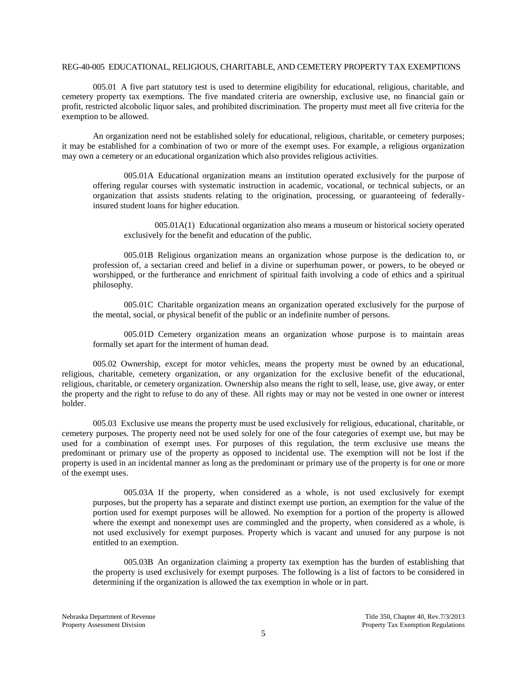#### REG-40-005 EDUCATIONAL, RELIGIOUS, CHARITABLE, AND CEMETERY PROPERTY TAX EXEMPTIONS

005.01 A five part statutory test is used to determine eligibility for educational, religious, charitable, and cemetery property tax exemptions. The five mandated criteria are ownership, exclusive use, no financial gain or profit, restricted alcoholic liquor sales, and prohibited discrimination. The property must meet all five criteria for the exemption to be allowed.

An organization need not be established solely for educational, religious, charitable, or cemetery purposes; it may be established for a combination of two or more of the exempt uses. For example, a religious organization may own a cemetery or an educational organization which also provides religious activities.

005.01A Educational organization means an institution operated exclusively for the purpose of offering regular courses with systematic instruction in academic, vocational, or technical subjects, or an organization that assists students relating to the origination, processing, or guaranteeing of federallyinsured student loans for higher education.

005.01A(1) Educational organization also means a museum or historical society operated exclusively for the benefit and education of the public.

005.01B Religious organization means an organization whose purpose is the dedication to, or profession of, a sectarian creed and belief in a divine or superhuman power, or powers, to be obeyed or worshipped, or the furtherance and enrichment of spiritual faith involving a code of ethics and a spiritual philosophy.

005.01C Charitable organization means an organization operated exclusively for the purpose of the mental, social, or physical benefit of the public or an indefinite number of persons.

005.01D Cemetery organization means an organization whose purpose is to maintain areas formally set apart for the interment of human dead.

005.02 Ownership, except for motor vehicles, means the property must be owned by an educational, religious, charitable, cemetery organization, or any organization for the exclusive benefit of the educational, religious, charitable, or cemetery organization. Ownership also means the right to sell, lease, use, give away, or enter the property and the right to refuse to do any of these. All rights may or may not be vested in one owner or interest holder.

005.03 Exclusive use means the property must be used exclusively for religious, educational, charitable, or cemetery purposes. The property need not be used solely for one of the four categories of exempt use, but may be used for a combination of exempt uses. For purposes of this regulation, the term exclusive use means the predominant or primary use of the property as opposed to incidental use. The exemption will not be lost if the property is used in an incidental manner as long as the predominant or primary use of the property is for one or more of the exempt uses.

005.03A If the property, when considered as a whole, is not used exclusively for exempt purposes, but the property has a separate and distinct exempt use portion, an exemption for the value of the portion used for exempt purposes will be allowed. No exemption for a portion of the property is allowed where the exempt and nonexempt uses are commingled and the property, when considered as a whole, is not used exclusively for exempt purposes. Property which is vacant and unused for any purpose is not entitled to an exemption.

005.03B An organization claiming a property tax exemption has the burden of establishing that the property is used exclusively for exempt purposes. The following is a list of factors to be considered in determining if the organization is allowed the tax exemption in whole or in part.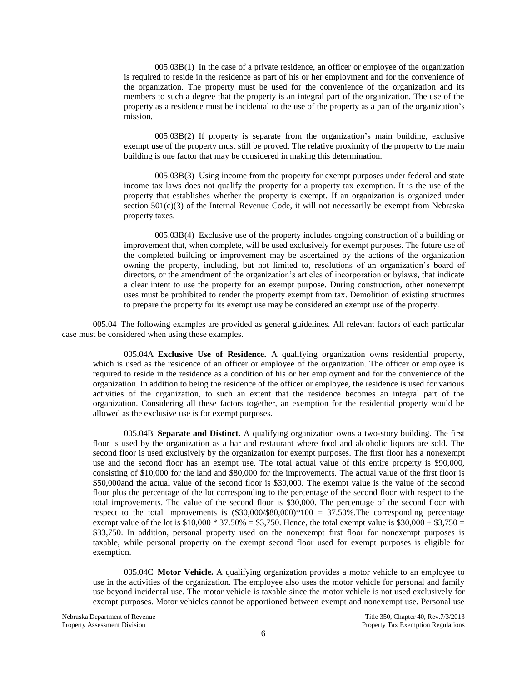005.03B(1) In the case of a private residence, an officer or employee of the organization is required to reside in the residence as part of his or her employment and for the convenience of the organization. The property must be used for the convenience of the organization and its members to such a degree that the property is an integral part of the organization. The use of the property as a residence must be incidental to the use of the property as a part of the organization's mission.

005.03B(2) If property is separate from the organization's main building, exclusive exempt use of the property must still be proved. The relative proximity of the property to the main building is one factor that may be considered in making this determination.

005.03B(3) Using income from the property for exempt purposes under federal and state income tax laws does not qualify the property for a property tax exemption. It is the use of the property that establishes whether the property is exempt. If an organization is organized under section  $501(c)(3)$  of the Internal Revenue Code, it will not necessarily be exempt from Nebraska property taxes.

005.03B(4) Exclusive use of the property includes ongoing construction of a building or improvement that, when complete, will be used exclusively for exempt purposes. The future use of the completed building or improvement may be ascertained by the actions of the organization owning the property, including, but not limited to, resolutions of an organization's board of directors, or the amendment of the organization's articles of incorporation or bylaws, that indicate a clear intent to use the property for an exempt purpose. During construction, other nonexempt uses must be prohibited to render the property exempt from tax. Demolition of existing structures to prepare the property for its exempt use may be considered an exempt use of the property.

005.04 The following examples are provided as general guidelines. All relevant factors of each particular case must be considered when using these examples.

005.04A **Exclusive Use of Residence.** A qualifying organization owns residential property, which is used as the residence of an officer or employee of the organization. The officer or employee is required to reside in the residence as a condition of his or her employment and for the convenience of the organization. In addition to being the residence of the officer or employee, the residence is used for various activities of the organization, to such an extent that the residence becomes an integral part of the organization. Considering all these factors together, an exemption for the residential property would be allowed as the exclusive use is for exempt purposes.

005.04B **Separate and Distinct.** A qualifying organization owns a two-story building. The first floor is used by the organization as a bar and restaurant where food and alcoholic liquors are sold. The second floor is used exclusively by the organization for exempt purposes. The first floor has a nonexempt use and the second floor has an exempt use. The total actual value of this entire property is \$90,000, consisting of \$10,000 for the land and \$80,000 for the improvements. The actual value of the first floor is \$50,000and the actual value of the second floor is \$30,000. The exempt value is the value of the second floor plus the percentage of the lot corresponding to the percentage of the second floor with respect to the total improvements. The value of the second floor is \$30,000. The percentage of the second floor with respect to the total improvements is  $(\$30,000/\$80,000)*100 = 37.50\%$ . The corresponding percentage exempt value of the lot is  $$10,000 * 37.50\% = $3,750$ . Hence, the total exempt value is  $$30,000 + $3,750 =$ \$33,750. In addition, personal property used on the nonexempt first floor for nonexempt purposes is taxable, while personal property on the exempt second floor used for exempt purposes is eligible for exemption.

005.04C **Motor Vehicle.** A qualifying organization provides a motor vehicle to an employee to use in the activities of the organization. The employee also uses the motor vehicle for personal and family use beyond incidental use. The motor vehicle is taxable since the motor vehicle is not used exclusively for exempt purposes. Motor vehicles cannot be apportioned between exempt and nonexempt use. Personal use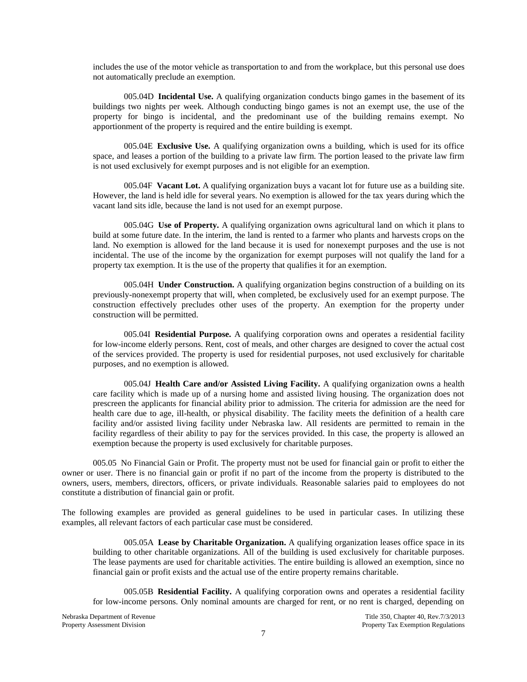includes the use of the motor vehicle as transportation to and from the workplace, but this personal use does not automatically preclude an exemption.

005.04D **Incidental Use.** A qualifying organization conducts bingo games in the basement of its buildings two nights per week. Although conducting bingo games is not an exempt use, the use of the property for bingo is incidental, and the predominant use of the building remains exempt. No apportionment of the property is required and the entire building is exempt.

005.04E **Exclusive Use.** A qualifying organization owns a building, which is used for its office space, and leases a portion of the building to a private law firm. The portion leased to the private law firm is not used exclusively for exempt purposes and is not eligible for an exemption.

005.04F **Vacant Lot.** A qualifying organization buys a vacant lot for future use as a building site. However, the land is held idle for several years. No exemption is allowed for the tax years during which the vacant land sits idle, because the land is not used for an exempt purpose.

005.04G **Use of Property.** A qualifying organization owns agricultural land on which it plans to build at some future date. In the interim, the land is rented to a farmer who plants and harvests crops on the land. No exemption is allowed for the land because it is used for nonexempt purposes and the use is not incidental. The use of the income by the organization for exempt purposes will not qualify the land for a property tax exemption. It is the use of the property that qualifies it for an exemption.

005.04H **Under Construction.** A qualifying organization begins construction of a building on its previously-nonexempt property that will, when completed, be exclusively used for an exempt purpose. The construction effectively precludes other uses of the property. An exemption for the property under construction will be permitted.

005.04I **Residential Purpose.** A qualifying corporation owns and operates a residential facility for low-income elderly persons. Rent, cost of meals, and other charges are designed to cover the actual cost of the services provided. The property is used for residential purposes, not used exclusively for charitable purposes, and no exemption is allowed.

005.04J **Health Care and/or Assisted Living Facility.** A qualifying organization owns a health care facility which is made up of a nursing home and assisted living housing. The organization does not prescreen the applicants for financial ability prior to admission. The criteria for admission are the need for health care due to age, ill-health, or physical disability. The facility meets the definition of a health care facility and/or assisted living facility under Nebraska law. All residents are permitted to remain in the facility regardless of their ability to pay for the services provided. In this case, the property is allowed an exemption because the property is used exclusively for charitable purposes.

005.05 No Financial Gain or Profit. The property must not be used for financial gain or profit to either the owner or user. There is no financial gain or profit if no part of the income from the property is distributed to the owners, users, members, directors, officers, or private individuals. Reasonable salaries paid to employees do not constitute a distribution of financial gain or profit.

The following examples are provided as general guidelines to be used in particular cases. In utilizing these examples, all relevant factors of each particular case must be considered.

005.05A **Lease by Charitable Organization.** A qualifying organization leases office space in its building to other charitable organizations. All of the building is used exclusively for charitable purposes. The lease payments are used for charitable activities. The entire building is allowed an exemption, since no financial gain or profit exists and the actual use of the entire property remains charitable.

005.05B **Residential Facility.** A qualifying corporation owns and operates a residential facility for low-income persons. Only nominal amounts are charged for rent, or no rent is charged, depending on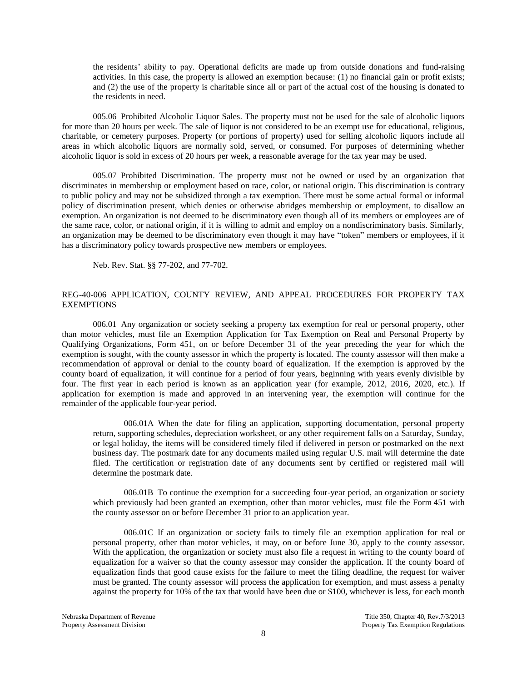the residents' ability to pay. Operational deficits are made up from outside donations and fund-raising activities. In this case, the property is allowed an exemption because: (1) no financial gain or profit exists; and (2) the use of the property is charitable since all or part of the actual cost of the housing is donated to the residents in need.

005.06 Prohibited Alcoholic Liquor Sales. The property must not be used for the sale of alcoholic liquors for more than 20 hours per week. The sale of liquor is not considered to be an exempt use for educational, religious, charitable, or cemetery purposes. Property (or portions of property) used for selling alcoholic liquors include all areas in which alcoholic liquors are normally sold, served, or consumed. For purposes of determining whether alcoholic liquor is sold in excess of 20 hours per week, a reasonable average for the tax year may be used.

005.07 Prohibited Discrimination. The property must not be owned or used by an organization that discriminates in membership or employment based on race, color, or national origin. This discrimination is contrary to public policy and may not be subsidized through a tax exemption. There must be some actual formal or informal policy of discrimination present, which denies or otherwise abridges membership or employment, to disallow an exemption. An organization is not deemed to be discriminatory even though all of its members or employees are of the same race, color, or national origin, if it is willing to admit and employ on a nondiscriminatory basis. Similarly, an organization may be deemed to be discriminatory even though it may have "token" members or employees, if it has a discriminatory policy towards prospective new members or employees.

Neb. Rev. Stat. §§ 77-202, and 77-702.

## REG-40-006 APPLICATION, COUNTY REVIEW, AND APPEAL PROCEDURES FOR PROPERTY TAX EXEMPTIONS

006.01 Any organization or society seeking a property tax exemption for real or personal property, other than motor vehicles, must file an Exemption Application for Tax Exemption on Real and Personal Property by Qualifying Organizations, Form 451, on or before December 31 of the year preceding the year for which the exemption is sought, with the county assessor in which the property is located. The county assessor will then make a recommendation of approval or denial to the county board of equalization. If the exemption is approved by the county board of equalization, it will continue for a period of four years, beginning with years evenly divisible by four. The first year in each period is known as an application year (for example, 2012, 2016, 2020, etc.). If application for exemption is made and approved in an intervening year, the exemption will continue for the remainder of the applicable four-year period.

006.01A When the date for filing an application, supporting documentation, personal property return, supporting schedules, depreciation worksheet, or any other requirement falls on a Saturday, Sunday, or legal holiday, the items will be considered timely filed if delivered in person or postmarked on the next business day. The postmark date for any documents mailed using regular U.S. mail will determine the date filed. The certification or registration date of any documents sent by certified or registered mail will determine the postmark date.

006.01B To continue the exemption for a succeeding four-year period, an organization or society which previously had been granted an exemption, other than motor vehicles, must file the Form 451 with the county assessor on or before December 31 prior to an application year.

006.01C If an organization or society fails to timely file an exemption application for real or personal property, other than motor vehicles, it may, on or before June 30, apply to the county assessor. With the application, the organization or society must also file a request in writing to the county board of equalization for a waiver so that the county assessor may consider the application. If the county board of equalization finds that good cause exists for the failure to meet the filing deadline, the request for waiver must be granted. The county assessor will process the application for exemption, and must assess a penalty against the property for 10% of the tax that would have been due or \$100, whichever is less, for each month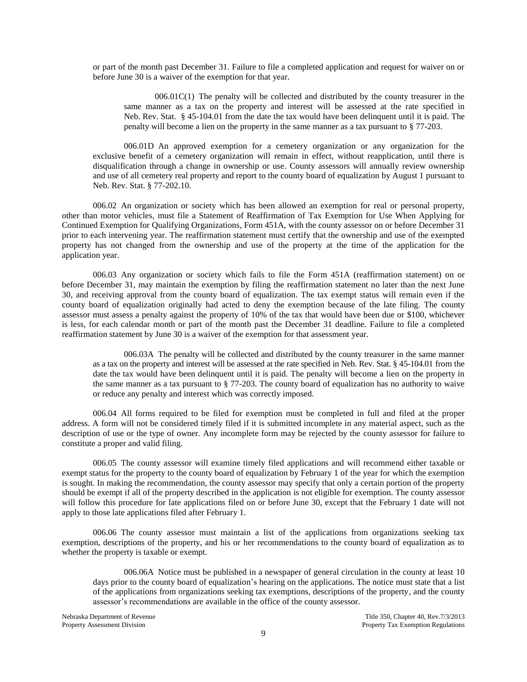or part of the month past December 31. Failure to file a completed application and request for waiver on or before June 30 is a waiver of the exemption for that year.

 $006.01C(1)$  The penalty will be collected and distributed by the county treasurer in the same manner as a tax on the property and interest will be assessed at the rate specified in Neb. Rev. Stat. § 45-104.01 from the date the tax would have been delinquent until it is paid. The penalty will become a lien on the property in the same manner as a tax pursuant to § 77-203.

006.01D An approved exemption for a cemetery organization or any organization for the exclusive benefit of a cemetery organization will remain in effect, without reapplication, until there is disqualification through a change in ownership or use. County assessors will annually review ownership and use of all cemetery real property and report to the county board of equalization by August 1 pursuant to Neb. Rev. Stat. § 77-202.10.

006.02 An organization or society which has been allowed an exemption for real or personal property, other than motor vehicles, must file a Statement of Reaffirmation of Tax Exemption for Use When Applying for Continued Exemption for Qualifying Organizations, Form 451A, with the county assessor on or before December 31 prior to each intervening year. The reaffirmation statement must certify that the ownership and use of the exempted property has not changed from the ownership and use of the property at the time of the application for the application year.

006.03 Any organization or society which fails to file the Form 451A (reaffirmation statement) on or before December 31, may maintain the exemption by filing the reaffirmation statement no later than the next June 30, and receiving approval from the county board of equalization. The tax exempt status will remain even if the county board of equalization originally had acted to deny the exemption because of the late filing. The county assessor must assess a penalty against the property of 10% of the tax that would have been due or \$100, whichever is less, for each calendar month or part of the month past the December 31 deadline. Failure to file a completed reaffirmation statement by June 30 is a waiver of the exemption for that assessment year.

006.03A The penalty will be collected and distributed by the county treasurer in the same manner as a tax on the property and interest will be assessed at the rate specified in Neb. Rev. Stat. § 45-104.01 from the date the tax would have been delinquent until it is paid. The penalty will become a lien on the property in the same manner as a tax pursuant to § 77-203. The county board of equalization has no authority to waive or reduce any penalty and interest which was correctly imposed.

006.04 All forms required to be filed for exemption must be completed in full and filed at the proper address. A form will not be considered timely filed if it is submitted incomplete in any material aspect, such as the description of use or the type of owner. Any incomplete form may be rejected by the county assessor for failure to constitute a proper and valid filing.

006.05 The county assessor will examine timely filed applications and will recommend either taxable or exempt status for the property to the county board of equalization by February 1 of the year for which the exemption is sought. In making the recommendation, the county assessor may specify that only a certain portion of the property should be exempt if all of the property described in the application is not eligible for exemption. The county assessor will follow this procedure for late applications filed on or before June 30, except that the February 1 date will not apply to those late applications filed after February 1.

006.06 The county assessor must maintain a list of the applications from organizations seeking tax exemption, descriptions of the property, and his or her recommendations to the county board of equalization as to whether the property is taxable or exempt.

006.06A Notice must be published in a newspaper of general circulation in the county at least 10 days prior to the county board of equalization's hearing on the applications. The notice must state that a list of the applications from organizations seeking tax exemptions, descriptions of the property, and the county assessor's recommendations are available in the office of the county assessor.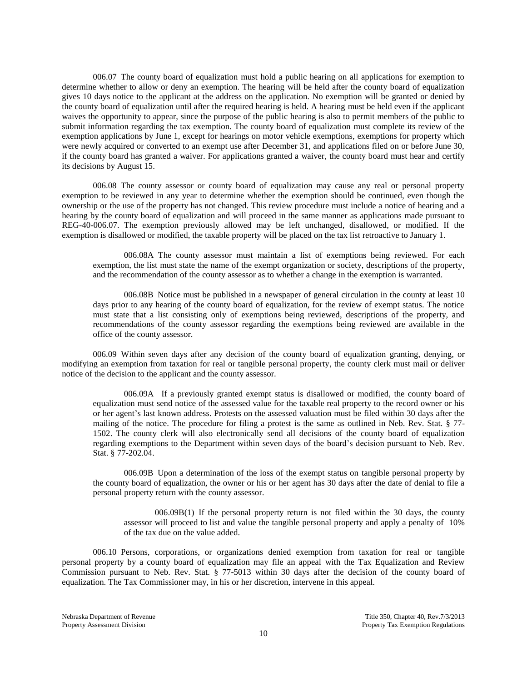006.07 The county board of equalization must hold a public hearing on all applications for exemption to determine whether to allow or deny an exemption. The hearing will be held after the county board of equalization gives 10 days notice to the applicant at the address on the application. No exemption will be granted or denied by the county board of equalization until after the required hearing is held. A hearing must be held even if the applicant waives the opportunity to appear, since the purpose of the public hearing is also to permit members of the public to submit information regarding the tax exemption. The county board of equalization must complete its review of the exemption applications by June 1, except for hearings on motor vehicle exemptions, exemptions for property which were newly acquired or converted to an exempt use after December 31, and applications filed on or before June 30, if the county board has granted a waiver. For applications granted a waiver, the county board must hear and certify its decisions by August 15.

006.08 The county assessor or county board of equalization may cause any real or personal property exemption to be reviewed in any year to determine whether the exemption should be continued, even though the ownership or the use of the property has not changed. This review procedure must include a notice of hearing and a hearing by the county board of equalization and will proceed in the same manner as applications made pursuant to REG-40-006.07. The exemption previously allowed may be left unchanged, disallowed, or modified. If the exemption is disallowed or modified, the taxable property will be placed on the tax list retroactive to January 1.

006.08A The county assessor must maintain a list of exemptions being reviewed. For each exemption, the list must state the name of the exempt organization or society, descriptions of the property, and the recommendation of the county assessor as to whether a change in the exemption is warranted.

006.08B Notice must be published in a newspaper of general circulation in the county at least 10 days prior to any hearing of the county board of equalization, for the review of exempt status. The notice must state that a list consisting only of exemptions being reviewed, descriptions of the property, and recommendations of the county assessor regarding the exemptions being reviewed are available in the office of the county assessor.

006.09 Within seven days after any decision of the county board of equalization granting, denying, or modifying an exemption from taxation for real or tangible personal property, the county clerk must mail or deliver notice of the decision to the applicant and the county assessor.

006.09A If a previously granted exempt status is disallowed or modified, the county board of equalization must send notice of the assessed value for the taxable real property to the record owner or his or her agent's last known address. Protests on the assessed valuation must be filed within 30 days after the mailing of the notice. The procedure for filing a protest is the same as outlined in Neb. Rev. Stat. § 77- 1502. The county clerk will also electronically send all decisions of the county board of equalization regarding exemptions to the Department within seven days of the board's decision pursuant to Neb. Rev. Stat. § 77-202.04.

006.09B Upon a determination of the loss of the exempt status on tangible personal property by the county board of equalization, the owner or his or her agent has 30 days after the date of denial to file a personal property return with the county assessor.

006.09B(1) If the personal property return is not filed within the 30 days, the county assessor will proceed to list and value the tangible personal property and apply a penalty of 10% of the tax due on the value added.

006.10 Persons, corporations, or organizations denied exemption from taxation for real or tangible personal property by a county board of equalization may file an appeal with the Tax Equalization and Review Commission pursuant to Neb. Rev. Stat. § 77-5013 within 30 days after the decision of the county board of equalization. The Tax Commissioner may, in his or her discretion, intervene in this appeal.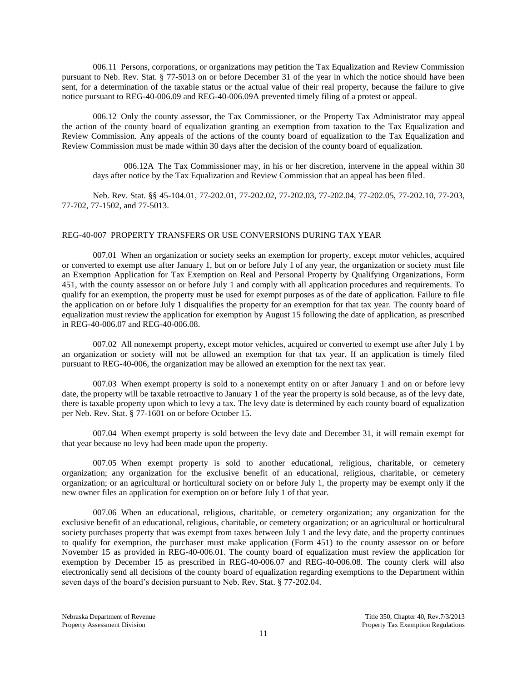006.11 Persons, corporations, or organizations may petition the Tax Equalization and Review Commission pursuant to Neb. Rev. Stat. § 77-5013 on or before December 31 of the year in which the notice should have been sent, for a determination of the taxable status or the actual value of their real property, because the failure to give notice pursuant to REG-40-006.09 and REG-40-006.09A prevented timely filing of a protest or appeal.

006.12 Only the county assessor, the Tax Commissioner, or the Property Tax Administrator may appeal the action of the county board of equalization granting an exemption from taxation to the Tax Equalization and Review Commission. Any appeals of the actions of the county board of equalization to the Tax Equalization and Review Commission must be made within 30 days after the decision of the county board of equalization.

006.12A The Tax Commissioner may, in his or her discretion, intervene in the appeal within 30 days after notice by the Tax Equalization and Review Commission that an appeal has been filed.

Neb. Rev. Stat. §§ 45-104.01, 77-202.01, 77-202.02, 77-202.03, 77-202.04, 77-202.05, 77-202.10, 77-203, 77-702, 77-1502, and 77-5013.

#### REG-40-007 PROPERTY TRANSFERS OR USE CONVERSIONS DURING TAX YEAR

007.01 When an organization or society seeks an exemption for property, except motor vehicles, acquired or converted to exempt use after January 1, but on or before July 1 of any year, the organization or society must file an Exemption Application for Tax Exemption on Real and Personal Property by Qualifying Organizations, Form 451, with the county assessor on or before July 1 and comply with all application procedures and requirements. To qualify for an exemption, the property must be used for exempt purposes as of the date of application. Failure to file the application on or before July 1 disqualifies the property for an exemption for that tax year. The county board of equalization must review the application for exemption by August 15 following the date of application, as prescribed in REG-40-006.07 and REG-40-006.08.

007.02 All nonexempt property, except motor vehicles, acquired or converted to exempt use after July 1 by an organization or society will not be allowed an exemption for that tax year. If an application is timely filed pursuant to REG-40-006, the organization may be allowed an exemption for the next tax year.

007.03 When exempt property is sold to a nonexempt entity on or after January 1 and on or before levy date, the property will be taxable retroactive to January 1 of the year the property is sold because, as of the levy date, there is taxable property upon which to levy a tax. The levy date is determined by each county board of equalization per Neb. Rev. Stat. § 77-1601 on or before October 15.

007.04 When exempt property is sold between the levy date and December 31, it will remain exempt for that year because no levy had been made upon the property.

007.05 When exempt property is sold to another educational, religious, charitable, or cemetery organization; any organization for the exclusive benefit of an educational, religious, charitable, or cemetery organization; or an agricultural or horticultural society on or before July 1, the property may be exempt only if the new owner files an application for exemption on or before July 1 of that year.

007.06 When an educational, religious, charitable, or cemetery organization; any organization for the exclusive benefit of an educational, religious, charitable, or cemetery organization; or an agricultural or horticultural society purchases property that was exempt from taxes between July 1 and the levy date, and the property continues to qualify for exemption, the purchaser must make application (Form 451) to the county assessor on or before November 15 as provided in REG-40-006.01. The county board of equalization must review the application for exemption by December 15 as prescribed in REG-40-006.07 and REG-40-006.08. The county clerk will also electronically send all decisions of the county board of equalization regarding exemptions to the Department within seven days of the board's decision pursuant to Neb. Rev. Stat. § 77-202.04.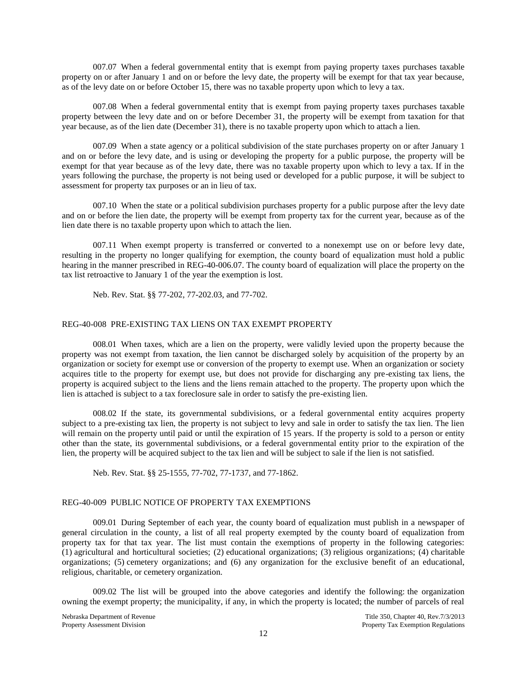007.07 When a federal governmental entity that is exempt from paying property taxes purchases taxable property on or after January 1 and on or before the levy date, the property will be exempt for that tax year because, as of the levy date on or before October 15, there was no taxable property upon which to levy a tax.

007.08 When a federal governmental entity that is exempt from paying property taxes purchases taxable property between the levy date and on or before December 31, the property will be exempt from taxation for that year because, as of the lien date (December 31), there is no taxable property upon which to attach a lien.

007.09 When a state agency or a political subdivision of the state purchases property on or after January 1 and on or before the levy date, and is using or developing the property for a public purpose, the property will be exempt for that year because as of the levy date, there was no taxable property upon which to levy a tax. If in the years following the purchase, the property is not being used or developed for a public purpose, it will be subject to assessment for property tax purposes or an in lieu of tax.

007.10 When the state or a political subdivision purchases property for a public purpose after the levy date and on or before the lien date, the property will be exempt from property tax for the current year, because as of the lien date there is no taxable property upon which to attach the lien.

007.11 When exempt property is transferred or converted to a nonexempt use on or before levy date, resulting in the property no longer qualifying for exemption, the county board of equalization must hold a public hearing in the manner prescribed in REG-40-006.07. The county board of equalization will place the property on the tax list retroactive to January 1 of the year the exemption is lost.

Neb. Rev. Stat. §§ 77-202, 77-202.03, and 77-702.

# REG-40-008 PRE-EXISTING TAX LIENS ON TAX EXEMPT PROPERTY

008.01 When taxes, which are a lien on the property, were validly levied upon the property because the property was not exempt from taxation, the lien cannot be discharged solely by acquisition of the property by an organization or society for exempt use or conversion of the property to exempt use. When an organization or society acquires title to the property for exempt use, but does not provide for discharging any pre-existing tax liens, the property is acquired subject to the liens and the liens remain attached to the property. The property upon which the lien is attached is subject to a tax foreclosure sale in order to satisfy the pre-existing lien.

008.02 If the state, its governmental subdivisions, or a federal governmental entity acquires property subject to a pre-existing tax lien, the property is not subject to levy and sale in order to satisfy the tax lien. The lien will remain on the property until paid or until the expiration of 15 years. If the property is sold to a person or entity other than the state, its governmental subdivisions, or a federal governmental entity prior to the expiration of the lien, the property will be acquired subject to the tax lien and will be subject to sale if the lien is not satisfied.

Neb. Rev. Stat. §§ 25-1555, 77-702, 77-1737, and 77-1862.

## REG-40-009 PUBLIC NOTICE OF PROPERTY TAX EXEMPTIONS

009.01 During September of each year, the county board of equalization must publish in a newspaper of general circulation in the county, a list of all real property exempted by the county board of equalization from property tax for that tax year. The list must contain the exemptions of property in the following categories: (1) agricultural and horticultural societies; (2) educational organizations; (3) religious organizations; (4) charitable organizations; (5) cemetery organizations; and (6) any organization for the exclusive benefit of an educational, religious, charitable, or cemetery organization.

009.02 The list will be grouped into the above categories and identify the following: the organization owning the exempt property; the municipality, if any, in which the property is located; the number of parcels of real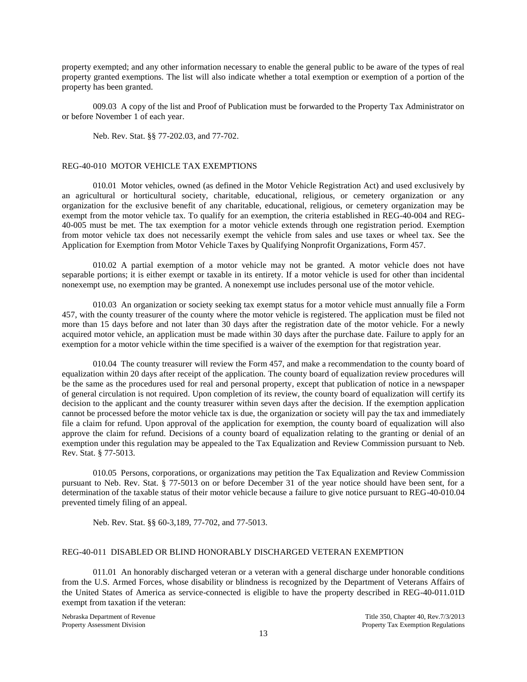property exempted; and any other information necessary to enable the general public to be aware of the types of real property granted exemptions. The list will also indicate whether a total exemption or exemption of a portion of the property has been granted.

009.03 A copy of the list and Proof of Publication must be forwarded to the Property Tax Administrator on or before November 1 of each year.

Neb. Rev. Stat. §§ 77-202.03, and 77-702.

## REG-40-010 MOTOR VEHICLE TAX EXEMPTIONS

010.01 Motor vehicles, owned (as defined in the Motor Vehicle Registration Act) and used exclusively by an agricultural or horticultural society, charitable, educational, religious, or cemetery organization or any organization for the exclusive benefit of any charitable, educational, religious, or cemetery organization may be exempt from the motor vehicle tax. To qualify for an exemption, the criteria established in REG-40-004 and REG-40-005 must be met. The tax exemption for a motor vehicle extends through one registration period. Exemption from motor vehicle tax does not necessarily exempt the vehicle from sales and use taxes or wheel tax. See the Application for Exemption from Motor Vehicle Taxes by Qualifying Nonprofit Organizations, Form 457.

010.02 A partial exemption of a motor vehicle may not be granted. A motor vehicle does not have separable portions; it is either exempt or taxable in its entirety. If a motor vehicle is used for other than incidental nonexempt use, no exemption may be granted. A nonexempt use includes personal use of the motor vehicle.

010.03 An organization or society seeking tax exempt status for a motor vehicle must annually file a Form 457, with the county treasurer of the county where the motor vehicle is registered. The application must be filed not more than 15 days before and not later than 30 days after the registration date of the motor vehicle. For a newly acquired motor vehicle, an application must be made within 30 days after the purchase date. Failure to apply for an exemption for a motor vehicle within the time specified is a waiver of the exemption for that registration year.

010.04 The county treasurer will review the Form 457, and make a recommendation to the county board of equalization within 20 days after receipt of the application. The county board of equalization review procedures will be the same as the procedures used for real and personal property, except that publication of notice in a newspaper of general circulation is not required. Upon completion of its review, the county board of equalization will certify its decision to the applicant and the county treasurer within seven days after the decision. If the exemption application cannot be processed before the motor vehicle tax is due, the organization or society will pay the tax and immediately file a claim for refund. Upon approval of the application for exemption, the county board of equalization will also approve the claim for refund. Decisions of a county board of equalization relating to the granting or denial of an exemption under this regulation may be appealed to the Tax Equalization and Review Commission pursuant to Neb. Rev. Stat. § 77-5013.

010.05 Persons, corporations, or organizations may petition the Tax Equalization and Review Commission pursuant to Neb. Rev. Stat. § 77-5013 on or before December 31 of the year notice should have been sent, for a determination of the taxable status of their motor vehicle because a failure to give notice pursuant to REG-40-010.04 prevented timely filing of an appeal.

Neb. Rev. Stat. §§ 60-3,189, 77-702, and 77-5013.

#### REG-40-011 DISABLED OR BLIND HONORABLY DISCHARGED VETERAN EXEMPTION

011.01 An honorably discharged veteran or a veteran with a general discharge under honorable conditions from the U.S. Armed Forces, whose disability or blindness is recognized by the Department of Veterans Affairs of the United States of America as service-connected is eligible to have the property described in REG-40-011.01D exempt from taxation if the veteran: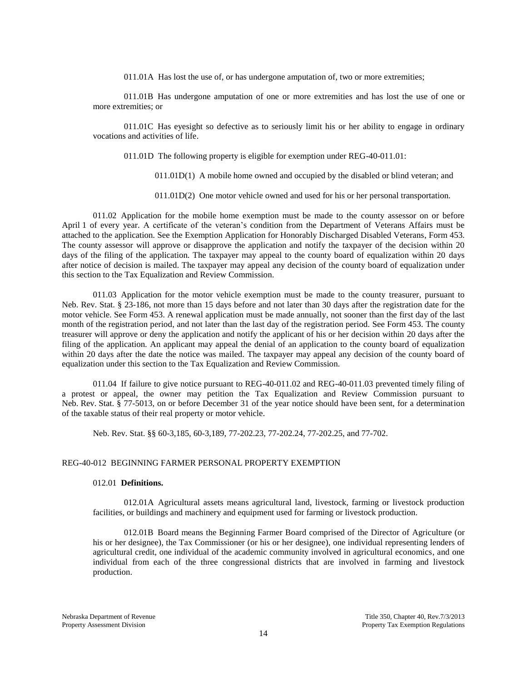011.01A Has lost the use of, or has undergone amputation of, two or more extremities;

011.01B Has undergone amputation of one or more extremities and has lost the use of one or more extremities; or

011.01C Has eyesight so defective as to seriously limit his or her ability to engage in ordinary vocations and activities of life.

011.01D The following property is eligible for exemption under REG-40-011.01:

- 011.01D(1) A mobile home owned and occupied by the disabled or blind veteran; and
- 011.01D(2) One motor vehicle owned and used for his or her personal transportation.

011.02 Application for the mobile home exemption must be made to the county assessor on or before April 1 of every year. A certificate of the veteran's condition from the Department of Veterans Affairs must be attached to the application. See the Exemption Application for Honorably Discharged Disabled Veterans, Form 453. The county assessor will approve or disapprove the application and notify the taxpayer of the decision within 20 days of the filing of the application. The taxpayer may appeal to the county board of equalization within 20 days after notice of decision is mailed. The taxpayer may appeal any decision of the county board of equalization under this section to the Tax Equalization and Review Commission.

011.03 Application for the motor vehicle exemption must be made to the county treasurer, pursuant to Neb. Rev. Stat. § 23-186, not more than 15 days before and not later than 30 days after the registration date for the motor vehicle. See Form 453. A renewal application must be made annually, not sooner than the first day of the last month of the registration period, and not later than the last day of the registration period. See Form 453. The county treasurer will approve or deny the application and notify the applicant of his or her decision within 20 days after the filing of the application. An applicant may appeal the denial of an application to the county board of equalization within 20 days after the date the notice was mailed. The taxpayer may appeal any decision of the county board of equalization under this section to the Tax Equalization and Review Commission.

011.04 If failure to give notice pursuant to REG-40-011.02 and REG-40-011.03 prevented timely filing of a protest or appeal, the owner may petition the Tax Equalization and Review Commission pursuant to Neb. Rev. Stat. § 77-5013, on or before December 31 of the year notice should have been sent, for a determination of the taxable status of their real property or motor vehicle.

Neb. Rev. Stat. §§ 60-3,185, 60-3,189, 77-202.23, 77-202.24, 77-202.25, and 77-702.

#### REG-40-012 BEGINNING FARMER PERSONAL PROPERTY EXEMPTION

#### 012.01 **Definitions.**

012.01A Agricultural assets means agricultural land, livestock, farming or livestock production facilities, or buildings and machinery and equipment used for farming or livestock production.

012.01B Board means the Beginning Farmer Board comprised of the Director of Agriculture (or his or her designee), the Tax Commissioner (or his or her designee), one individual representing lenders of agricultural credit, one individual of the academic community involved in agricultural economics, and one individual from each of the three congressional districts that are involved in farming and livestock production.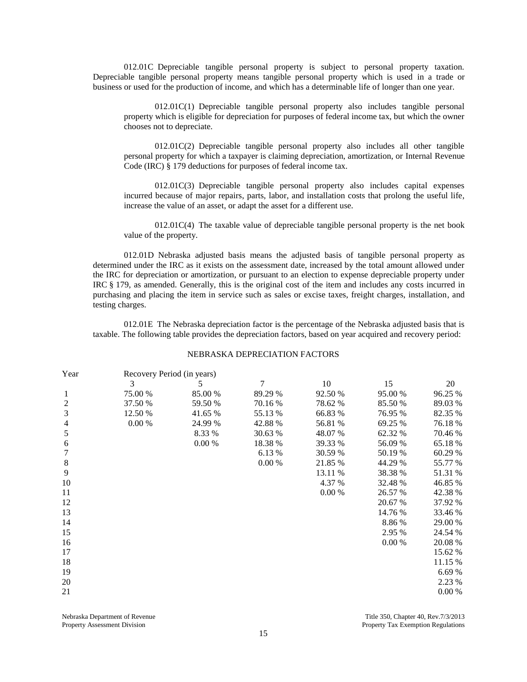012.01C Depreciable tangible personal property is subject to personal property taxation. Depreciable tangible personal property means tangible personal property which is used in a trade or business or used for the production of income, and which has a determinable life of longer than one year.

012.01C(1) Depreciable tangible personal property also includes tangible personal property which is eligible for depreciation for purposes of federal income tax, but which the owner chooses not to depreciate.

012.01C(2) Depreciable tangible personal property also includes all other tangible personal property for which a taxpayer is claiming depreciation, amortization, or Internal Revenue Code (IRC) § 179 deductions for purposes of federal income tax.

012.01C(3) Depreciable tangible personal property also includes capital expenses incurred because of major repairs, parts, labor, and installation costs that prolong the useful life, increase the value of an asset, or adapt the asset for a different use.

 $012.01C(4)$  The taxable value of depreciable tangible personal property is the net book value of the property.

012.01D Nebraska adjusted basis means the adjusted basis of tangible personal property as determined under the IRC as it exists on the assessment date, increased by the total amount allowed under the IRC for depreciation or amortization, or pursuant to an election to expense depreciable property under IRC § 179, as amended. Generally, this is the original cost of the item and includes any costs incurred in purchasing and placing the item in service such as sales or excise taxes, freight charges, installation, and testing charges.

012.01E The Nebraska depreciation factor is the percentage of the Nebraska adjusted basis that is taxable. The following table provides the depreciation factors, based on year acquired and recovery period:

#### NEBRASKA DEPRECIATION FACTORS

| Year             | Recovery Period (in years) |         |         |         |         |         |  |  |
|------------------|----------------------------|---------|---------|---------|---------|---------|--|--|
|                  | 3                          | 5.      | 7       | 10      | 15      | 20      |  |  |
| 1                | 75.00 %                    | 85.00 % | 89.29 % | 92.50 % | 95.00 % | 96.25 % |  |  |
| $\boldsymbol{2}$ | 37.50 %                    | 59.50 % | 70.16 % | 78.62 % | 85.50 % | 89.03 % |  |  |
| $\overline{3}$   | 12.50 %                    | 41.65 % | 55.13 % | 66.83 % | 76.95 % | 82.35 % |  |  |
| $\overline{4}$   | 0.00 %                     | 24.99 % | 42.88 % | 56.81 % | 69.25 % | 76.18 % |  |  |
| 5                |                            | 8.33 %  | 30.63 % | 48.07 % | 62.32 % | 70.46 % |  |  |
| 6                |                            | 0.00 %  | 18.38 % | 39.33 % | 56.09 % | 65.18%  |  |  |
| $\tau$           |                            |         | 6.13 %  | 30.59 % | 50.19 % | 60.29 % |  |  |
| $8\,$            |                            |         | 0.00 %  | 21.85 % | 44.29 % | 55.77 % |  |  |
| 9                |                            |         |         | 13.11 % | 38.38 % | 51.31 % |  |  |
| 10               |                            |         |         | 4.37 %  | 32.48 % | 46.85 % |  |  |
| 11               |                            |         |         | 0.00 %  | 26.57 % | 42.38 % |  |  |
| 12               |                            |         |         |         | 20.67 % | 37.92 % |  |  |
| 13               |                            |         |         |         | 14.76 % | 33.46 % |  |  |
| 14               |                            |         |         |         | 8.86%   | 29.00 % |  |  |
| 15               |                            |         |         |         | 2.95 %  | 24.54 % |  |  |
| 16               |                            |         |         |         | 0.00 %  | 20.08 % |  |  |
| 17               |                            |         |         |         |         | 15.62 % |  |  |
| 18               |                            |         |         |         |         | 11.15 % |  |  |
| 19               |                            |         |         |         |         | 6.69%   |  |  |
| 20               |                            |         |         |         |         | 2.23 %  |  |  |
| 21               |                            |         |         |         |         | 0.00 %  |  |  |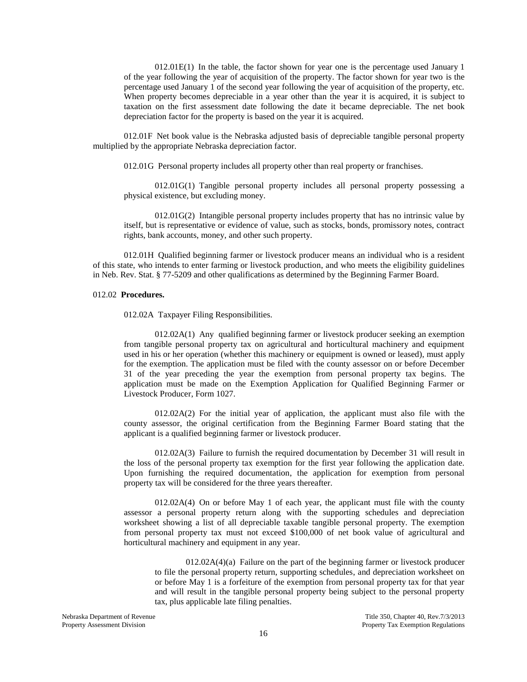012.01E(1) In the table, the factor shown for year one is the percentage used January 1 of the year following the year of acquisition of the property. The factor shown for year two is the percentage used January 1 of the second year following the year of acquisition of the property, etc. When property becomes depreciable in a year other than the year it is acquired, it is subject to taxation on the first assessment date following the date it became depreciable. The net book depreciation factor for the property is based on the year it is acquired.

012.01F Net book value is the Nebraska adjusted basis of depreciable tangible personal property multiplied by the appropriate Nebraska depreciation factor.

012.01G Personal property includes all property other than real property or franchises.

012.01G(1) Tangible personal property includes all personal property possessing a physical existence, but excluding money.

012.01G(2) Intangible personal property includes property that has no intrinsic value by itself, but is representative or evidence of value, such as stocks, bonds, promissory notes, contract rights, bank accounts, money, and other such property.

012.01H Qualified beginning farmer or livestock producer means an individual who is a resident of this state, who intends to enter farming or livestock production, and who meets the eligibility guidelines in Neb. Rev. Stat. § 77-5209 and other qualifications as determined by the Beginning Farmer Board.

#### 012.02 **Procedures.**

012.02A Taxpayer Filing Responsibilities.

012.02A(1) Any qualified beginning farmer or livestock producer seeking an exemption from tangible personal property tax on agricultural and horticultural machinery and equipment used in his or her operation (whether this machinery or equipment is owned or leased), must apply for the exemption. The application must be filed with the county assessor on or before December 31 of the year preceding the year the exemption from personal property tax begins. The application must be made on the Exemption Application for Qualified Beginning Farmer or Livestock Producer, Form 1027.

012.02A(2) For the initial year of application, the applicant must also file with the county assessor, the original certification from the Beginning Farmer Board stating that the applicant is a qualified beginning farmer or livestock producer.

012.02A(3) Failure to furnish the required documentation by December 31 will result in the loss of the personal property tax exemption for the first year following the application date. Upon furnishing the required documentation, the application for exemption from personal property tax will be considered for the three years thereafter.

012.02A(4) On or before May 1 of each year, the applicant must file with the county assessor a personal property return along with the supporting schedules and depreciation worksheet showing a list of all depreciable taxable tangible personal property. The exemption from personal property tax must not exceed \$100,000 of net book value of agricultural and horticultural machinery and equipment in any year.

012.02A(4)(a) Failure on the part of the beginning farmer or livestock producer to file the personal property return, supporting schedules, and depreciation worksheet on or before May 1 is a forfeiture of the exemption from personal property tax for that year and will result in the tangible personal property being subject to the personal property tax, plus applicable late filing penalties.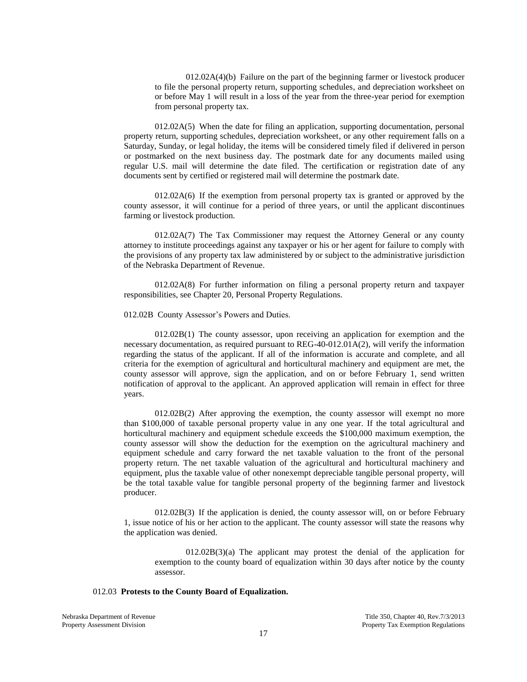$012.02A(4)(b)$  Failure on the part of the beginning farmer or livestock producer to file the personal property return, supporting schedules, and depreciation worksheet on or before May 1 will result in a loss of the year from the three-year period for exemption from personal property tax.

012.02A(5) When the date for filing an application, supporting documentation, personal property return, supporting schedules, depreciation worksheet, or any other requirement falls on a Saturday, Sunday, or legal holiday, the items will be considered timely filed if delivered in person or postmarked on the next business day. The postmark date for any documents mailed using regular U.S. mail will determine the date filed. The certification or registration date of any documents sent by certified or registered mail will determine the postmark date.

012.02A(6) If the exemption from personal property tax is granted or approved by the county assessor, it will continue for a period of three years, or until the applicant discontinues farming or livestock production.

012.02A(7) The Tax Commissioner may request the Attorney General or any county attorney to institute proceedings against any taxpayer or his or her agent for failure to comply with the provisions of any property tax law administered by or subject to the administrative jurisdiction of the Nebraska Department of Revenue.

012.02A(8) For further information on filing a personal property return and taxpayer responsibilities, see Chapter 20, Personal Property Regulations.

012.02B County Assessor's Powers and Duties.

012.02B(1) The county assessor, upon receiving an application for exemption and the necessary documentation, as required pursuant to REG-40-012.01A(2), will verify the information regarding the status of the applicant. If all of the information is accurate and complete, and all criteria for the exemption of agricultural and horticultural machinery and equipment are met, the county assessor will approve, sign the application, and on or before February 1, send written notification of approval to the applicant. An approved application will remain in effect for three years.

012.02B(2) After approving the exemption, the county assessor will exempt no more than \$100,000 of taxable personal property value in any one year. If the total agricultural and horticultural machinery and equipment schedule exceeds the \$100,000 maximum exemption, the county assessor will show the deduction for the exemption on the agricultural machinery and equipment schedule and carry forward the net taxable valuation to the front of the personal property return. The net taxable valuation of the agricultural and horticultural machinery and equipment, plus the taxable value of other nonexempt depreciable tangible personal property, will be the total taxable value for tangible personal property of the beginning farmer and livestock producer.

012.02B(3) If the application is denied, the county assessor will, on or before February 1, issue notice of his or her action to the applicant. The county assessor will state the reasons why the application was denied.

 $012.02B(3)(a)$  The applicant may protest the denial of the application for exemption to the county board of equalization within 30 days after notice by the county assessor.

## 012.03 **Protests to the County Board of Equalization.**